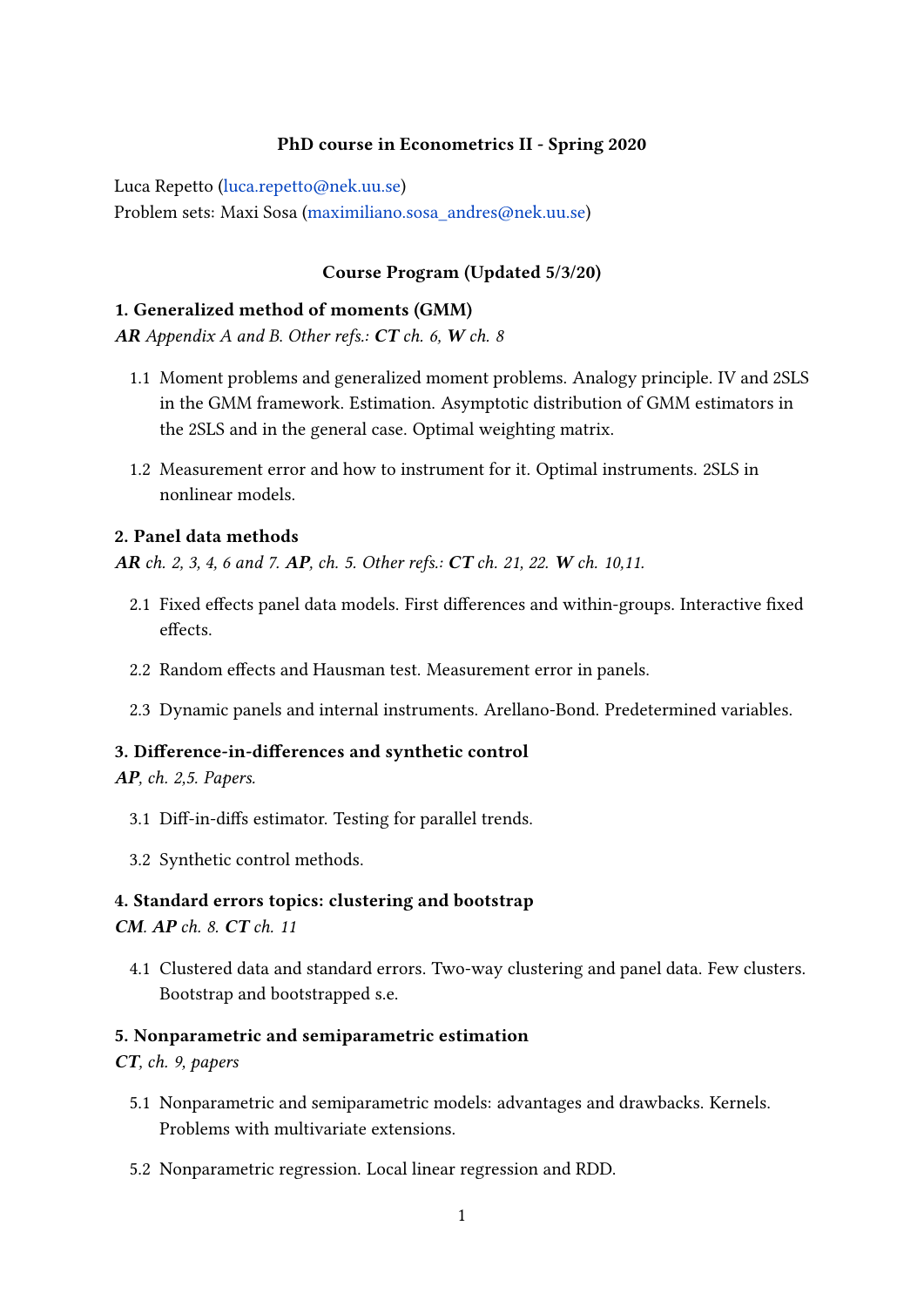## PhD course in Econometrics II - Spring 2020

Luca Repetto [\(luca.repetto@nek.uu.se\)](luca.repetto@nek.uu.se)

Problem sets: Maxi Sosa [\(maximiliano.sosa\\_andres@nek.uu.se\)](maximiliano.sosa_andres@nek.uu.se)

## Course Program (Updated 5/3/20)

## 1. Generalized method of moments (GMM)

AR Appendix A and B. Other refs.:  $CT$  ch. 6, W ch. 8

- 1.1 Moment problems and generalized moment problems. Analogy principle. IV and 2SLS in the GMM framework. Estimation. Asymptotic distribution of GMM estimators in the 2SLS and in the general case. Optimal weighting matrix.
- 1.2 Measurement error and how to instrument for it. Optimal instruments. 2SLS in nonlinear models.

## 2. Panel data methods

AR ch. 2, 3, 4, 6 and 7. AP, ch. 5. Other refs.: CT ch. 21, 22. W ch. 10,11.

- 2.1 Fixed effects panel data models. First differences and within-groups. Interactive fixed effects.
- 2.2 Random effects and Hausman test. Measurement error in panels.
- 2.3 Dynamic panels and internal instruments. Arellano-Bond. Predetermined variables.

### 3. Difference-in-differences and synthetic control

AP, ch. 2,5. Papers.

- 3.1 Diff-in-diffs estimator. Testing for parallel trends.
- 3.2 Synthetic control methods.

# 4. Standard errors topics: clustering and bootstrap

CM. AP ch. 8. CT ch. 11

4.1 Clustered data and standard errors. Two-way clustering and panel data. Few clusters. Bootstrap and bootstrapped s.e.

### 5. Nonparametric and semiparametric estimation

# CT, ch. 9, papers

- 5.1 Nonparametric and semiparametric models: advantages and drawbacks. Kernels. Problems with multivariate extensions.
- 5.2 Nonparametric regression. Local linear regression and RDD.